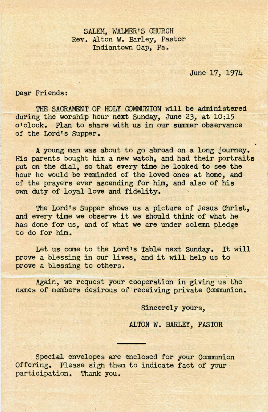SALEM, WALMER'S CHURCH Rev. Alton W. Barley, Pastor Indiantown Gap, Pa ,

JUne 17, 1974

Dear Friends:

THE SACRAMENT OF HOLY COMMUNION will be administered during the worship hour next Sunday, June 23, at 10:15 o'clock. Plan to share with us in our summer observance of the Lord's Supper.

A young man was about to go abroad on a long journey. His parents bought him a new watch, and had their portraits put on the dial, so that every time he looked to see the hour he would be reminded of the loved ones at home, and of the prayers ever ascending for him, and also of his own duty of loyal love and fidelity.

The Lord's Supper shows us a picture of Jesus Christ, and every time we observe it we should think of what he has done for us, and of what we are under solemn pledge to do for him.

Let us come to the Lord's Table next Sunday. It will prove a blessing in our lives, and it will help us to prove a blessing to others.

Again, we request your cooperation in giving us the names of members desirous of receiving private Communion.

Sincerely yours,

ALTON W. BARLEY, PASTOR

Special envelopes are' enclosed for your Comnunion Offering. Please sign them to indicate fact of your participation. Thank you.